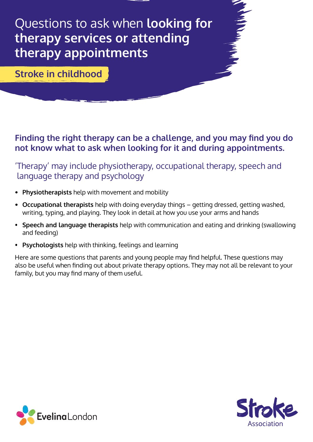Questions to ask when **looking for therapy services or attending therapy appointments**

**Stroke in childhood** 

### **Finding the right therapy can be a challenge, and you may find you do not know what to ask when looking for it and during appointments.**

'Therapy' may include physiotherapy, occupational therapy, speech and language therapy and psychology

- **• Physiotherapists** help with movement and mobility
- **• Occupational therapists** help with doing everyday things getting dressed, getting washed, writing, typing, and playing. They look in detail at how you use your arms and hands
- **Speech and language therapists** help with communication and eating and drinking (swallowing and feeding)
- **Psychologists** help with thinking, feelings and learning

Here are some questions that parents and young people may find helpful. These questions may also be useful when finding out about private therapy options. They may not all be relevant to your family, but you may find many of them useful.



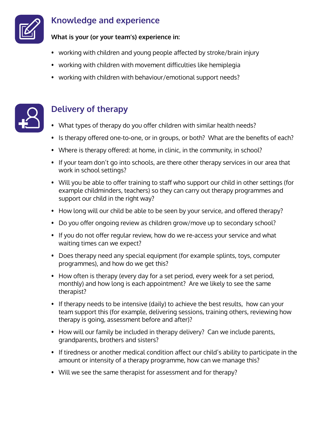

### **Knowledge and experience**

**What is your (or your team's) experience in:**

- working with children and young people affected by stroke/brain injury
- working with children with movement difficulties like hemiplegia
- working with children with behaviour/emotional support needs?



# **Delivery of therapy**

- What types of therapy do you offer children with similar health needs?
- Is therapy offered one-to-one, or in groups, or both? What are the benefits of each?
- Where is therapy offered: at home, in clinic, in the community, in school?
- If your team don't go into schools, are there other therapy services in our area that work in school settings?
- Will you be able to offer training to staff who support our child in other settings (for example childminders, teachers) so they can carry out therapy programmes and support our child in the right way?
- How long will our child be able to be seen by your service, and offered therapy?
- Do you offer ongoing review as children grow/move up to secondary school?
- If you do not offer regular review, how do we re-access your service and what waiting times can we expect?
- Does therapy need any special equipment (for example splints, toys, computer programmes), and how do we get this?
- How often is therapy (every day for a set period, every week for a set period, monthly) and how long is each appointment? Are we likely to see the same therapist?
- If therapy needs to be intensive (daily) to achieve the best results, how can your team support this (for example, delivering sessions, training others, reviewing how therapy is going, assessment before and after)?
- How will our family be included in therapy delivery? Can we include parents, grandparents, brothers and sisters?
- If tiredness or another medical condition affect our child's ability to participate in the amount or intensity of a therapy programme, how can we manage this?
- Will we see the same therapist for assessment and for therapy?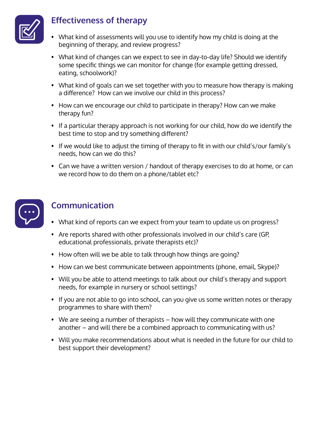

### **Effectiveness of therapy**

- What kind of assessments will you use to identify how my child is doing at the beginning of therapy, and review progress?
- What kind of changes can we expect to see in day-to-day life? Should we identify some specific things we can monitor for change (for example getting dressed, eating, schoolwork)?
- What kind of goals can we set together with you to measure how therapy is making a difference? How can we involve our child in this process?
- How can we encourage our child to participate in therapy? How can we make therapy fun?
- If a particular therapy approach is not working for our child, how do we identify the best time to stop and try something different?
- If we would like to adjust the timing of therapy to fit in with our child's/our family's needs, how can we do this?
- Can we have a written version / handout of therapy exercises to do at home, or can we record how to do them on a phone/tablet etc?



### **Communication**

- What kind of reports can we expect from your team to update us on progress?
- Are reports shared with other professionals involved in our child's care (GP, educational professionals, private therapists etc)?
- How often will we be able to talk through how things are going?
- How can we best communicate between appointments (phone, email, Skype)?
- Will you be able to attend meetings to talk about our child's therapy and support needs, for example in nursery or school settings?
- If you are not able to go into school, can you give us some written notes or therapy programmes to share with them?
- We are seeing a number of therapists how will they communicate with one another – and will there be a combined approach to communicating with us?
- Will you make recommendations about what is needed in the future for our child to best support their development?